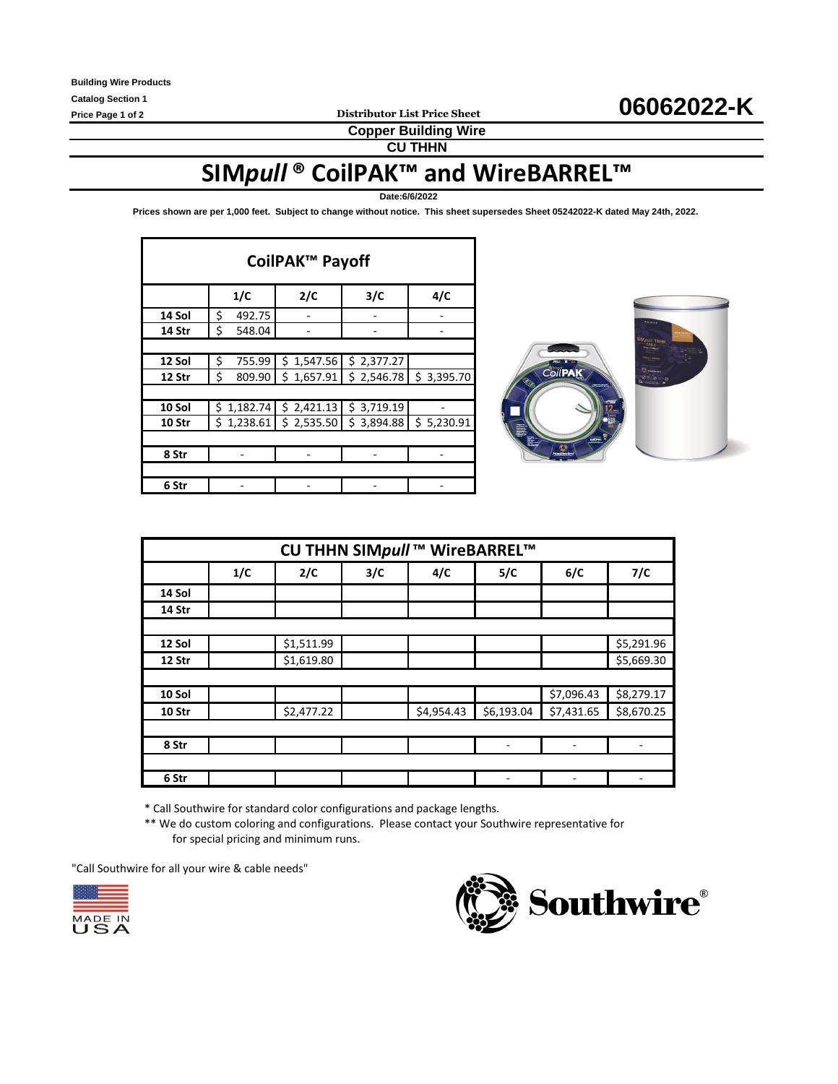**Copper Building Wire**

**CU THHN**

# **SIM***pull* **® CoilPAK™ and WireBARREL™**

**Date:6/6/2022**

**Prices shown are per 1,000 feet. Subject to change without notice. This sheet supersedes Sheet 05242022-K dated May 24th, 2022.** 

| CoilPAK™ Payoff |                 |            |            |            |  |  |  |  |  |
|-----------------|-----------------|------------|------------|------------|--|--|--|--|--|
|                 | 1/C             | 2/C        | 3/C        | 4/C        |  |  |  |  |  |
| 14 Sol          | \$<br>492.75    |            |            |            |  |  |  |  |  |
| 14 Str          | \$<br>548.04    |            |            |            |  |  |  |  |  |
|                 |                 |            |            |            |  |  |  |  |  |
| 12 Sol          | \$<br>755.99    | \$1,547.56 | \$2,377.27 |            |  |  |  |  |  |
| 12 Str          | \$<br>809.90    | \$1,657.91 | \$2,546.78 | \$3,395.70 |  |  |  |  |  |
|                 |                 |            |            |            |  |  |  |  |  |
| 10 Sol          | \$.<br>1,182.74 | \$2,421.13 | \$3,719.19 |            |  |  |  |  |  |
| 10 Str          | 1,238.61<br>\$. | \$2,535.50 | \$3,894.88 | \$5,230.91 |  |  |  |  |  |
|                 |                 |            |            |            |  |  |  |  |  |
| 8 Str           |                 |            |            |            |  |  |  |  |  |
|                 |                 |            |            |            |  |  |  |  |  |
| 6 Str           |                 |            |            |            |  |  |  |  |  |



| CU THHN SIMpull ™ WireBARREL™ |     |            |     |            |            |                              |            |  |  |
|-------------------------------|-----|------------|-----|------------|------------|------------------------------|------------|--|--|
|                               | 1/C | 2/C        | 3/C | 4/C        | 5/C        | 6/C                          | 7/C        |  |  |
| 14 Sol                        |     |            |     |            |            |                              |            |  |  |
| 14 Str                        |     |            |     |            |            |                              |            |  |  |
|                               |     |            |     |            |            |                              |            |  |  |
| 12 Sol                        |     | \$1,511.99 |     |            |            |                              | \$5,291.96 |  |  |
| 12 Str                        |     | \$1,619.80 |     |            |            |                              | \$5,669.30 |  |  |
|                               |     |            |     |            |            |                              |            |  |  |
| 10 Sol                        |     |            |     |            |            | \$7,096.43                   | \$8,279.17 |  |  |
| 10 Str                        |     | \$2,477.22 |     | \$4,954.43 | \$6,193.04 | \$7,431.65                   | \$8,670.25 |  |  |
|                               |     |            |     |            |            |                              |            |  |  |
| 8 Str                         |     |            |     |            |            | $\qquad \qquad \blacksquare$ |            |  |  |
|                               |     |            |     |            |            |                              |            |  |  |
| 6 Str                         |     |            |     |            |            |                              |            |  |  |

\* Call Southwire for standard color configurations and package lengths.

\*\* We do custom coloring and configurations. Please contact your Southwire representative for for special pricing and minimum runs.

"Call Southwire for all your wire & cable needs"